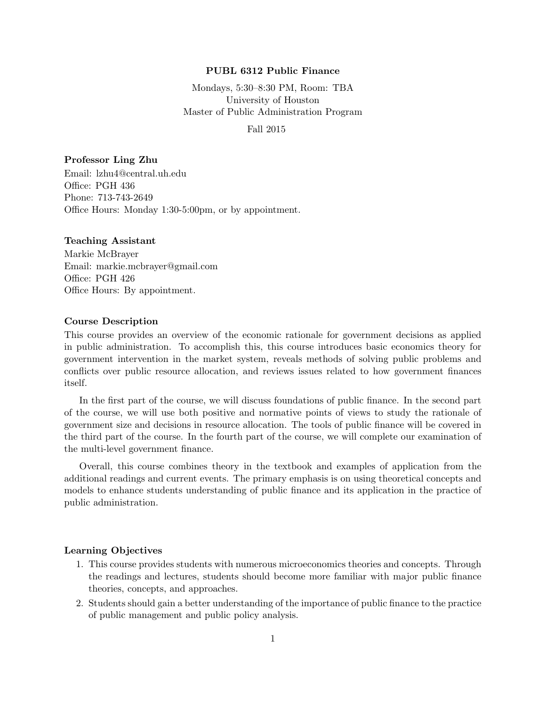## PUBL 6312 Public Finance

Mondays, 5:30–8:30 PM, Room: TBA University of Houston Master of Public Administration Program

#### Fall 2015

#### Professor Ling Zhu

Email: lzhu4@central.uh.edu Office: PGH 436 Phone: 713-743-2649 Office Hours: Monday 1:30-5:00pm, or by appointment.

## Teaching Assistant

Markie McBrayer Email: markie.mcbrayer@gmail.com Office: PGH 426 Office Hours: By appointment.

#### Course Description

This course provides an overview of the economic rationale for government decisions as applied in public administration. To accomplish this, this course introduces basic economics theory for government intervention in the market system, reveals methods of solving public problems and conflicts over public resource allocation, and reviews issues related to how government finances itself.

In the first part of the course, we will discuss foundations of public finance. In the second part of the course, we will use both positive and normative points of views to study the rationale of government size and decisions in resource allocation. The tools of public finance will be covered in the third part of the course. In the fourth part of the course, we will complete our examination of the multi-level government finance.

Overall, this course combines theory in the textbook and examples of application from the additional readings and current events. The primary emphasis is on using theoretical concepts and models to enhance students understanding of public finance and its application in the practice of public administration.

## Learning Objectives

- 1. This course provides students with numerous microeconomics theories and concepts. Through the readings and lectures, students should become more familiar with major public finance theories, concepts, and approaches.
- 2. Students should gain a better understanding of the importance of public finance to the practice of public management and public policy analysis.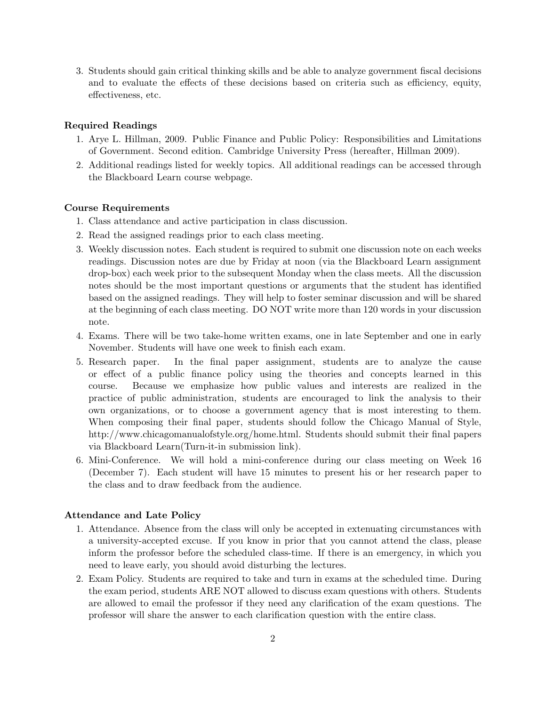3. Students should gain critical thinking skills and be able to analyze government fiscal decisions and to evaluate the effects of these decisions based on criteria such as efficiency, equity, effectiveness, etc.

## Required Readings

- 1. Arye L. Hillman, 2009. Public Finance and Public Policy: Responsibilities and Limitations of Government. Second edition. Cambridge University Press (hereafter, Hillman 2009).
- 2. Additional readings listed for weekly topics. All additional readings can be accessed through the Blackboard Learn course webpage.

#### Course Requirements

- 1. Class attendance and active participation in class discussion.
- 2. Read the assigned readings prior to each class meeting.
- 3. Weekly discussion notes. Each student is required to submit one discussion note on each weeks readings. Discussion notes are due by Friday at noon (via the Blackboard Learn assignment drop-box) each week prior to the subsequent Monday when the class meets. All the discussion notes should be the most important questions or arguments that the student has identified based on the assigned readings. They will help to foster seminar discussion and will be shared at the beginning of each class meeting. DO NOT write more than 120 words in your discussion note.
- 4. Exams. There will be two take-home written exams, one in late September and one in early November. Students will have one week to finish each exam.
- 5. Research paper. In the final paper assignment, students are to analyze the cause or effect of a public finance policy using the theories and concepts learned in this course. Because we emphasize how public values and interests are realized in the practice of public administration, students are encouraged to link the analysis to their own organizations, or to choose a government agency that is most interesting to them. When composing their final paper, students should follow the Chicago Manual of Style, http://www.chicagomanualofstyle.org/home.html. Students should submit their final papers via Blackboard Learn(Turn-it-in submission link).
- 6. Mini-Conference. We will hold a mini-conference during our class meeting on Week 16 (December 7). Each student will have 15 minutes to present his or her research paper to the class and to draw feedback from the audience.

#### Attendance and Late Policy

- 1. Attendance. Absence from the class will only be accepted in extenuating circumstances with a university-accepted excuse. If you know in prior that you cannot attend the class, please inform the professor before the scheduled class-time. If there is an emergency, in which you need to leave early, you should avoid disturbing the lectures.
- 2. Exam Policy. Students are required to take and turn in exams at the scheduled time. During the exam period, students ARE NOT allowed to discuss exam questions with others. Students are allowed to email the professor if they need any clarification of the exam questions. The professor will share the answer to each clarification question with the entire class.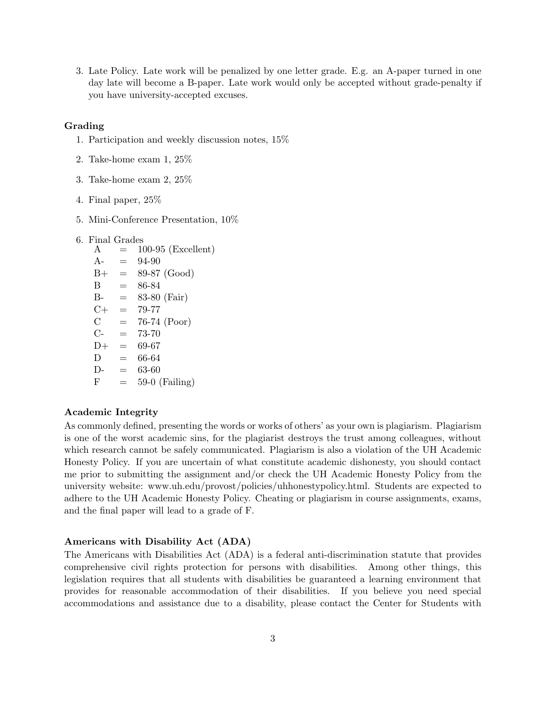3. Late Policy. Late work will be penalized by one letter grade. E.g. an A-paper turned in one day late will become a B-paper. Late work would only be accepted without grade-penalty if you have university-accepted excuses.

#### Grading

- 1. Participation and weekly discussion notes, 15%
- 2. Take-home exam 1, 25%
- 3. Take-home exam 2, 25%
- 4. Final paper, 25%
- 5. Mini-Conference Presentation, 10%
- 6. Final Grades
	- $A = 100-95$  (Excellent)  $A- = 94-90$  $B+ = 89-87$  (Good)  $B = 86-84$  $B = 83-80$  (Fair)  $C+ = 79-77$  $C = 76-74$  (Poor)  $C- = 73-70$  $D+ = 69-67$  $D = 66-64$  $D- = 63-60$  $F = 59-0$  (Failing)

## Academic Integrity

As commonly defined, presenting the words or works of others' as your own is plagiarism. Plagiarism is one of the worst academic sins, for the plagiarist destroys the trust among colleagues, without which research cannot be safely communicated. Plagiarism is also a violation of the UH Academic Honesty Policy. If you are uncertain of what constitute academic dishonesty, you should contact me prior to submitting the assignment and/or check the UH Academic Honesty Policy from the university website: www.uh.edu/provost/policies/uhhonestypolicy.html. Students are expected to adhere to the UH Academic Honesty Policy. Cheating or plagiarism in course assignments, exams, and the final paper will lead to a grade of F.

#### Americans with Disability Act (ADA)

The Americans with Disabilities Act (ADA) is a federal anti-discrimination statute that provides comprehensive civil rights protection for persons with disabilities. Among other things, this legislation requires that all students with disabilities be guaranteed a learning environment that provides for reasonable accommodation of their disabilities. If you believe you need special accommodations and assistance due to a disability, please contact the Center for Students with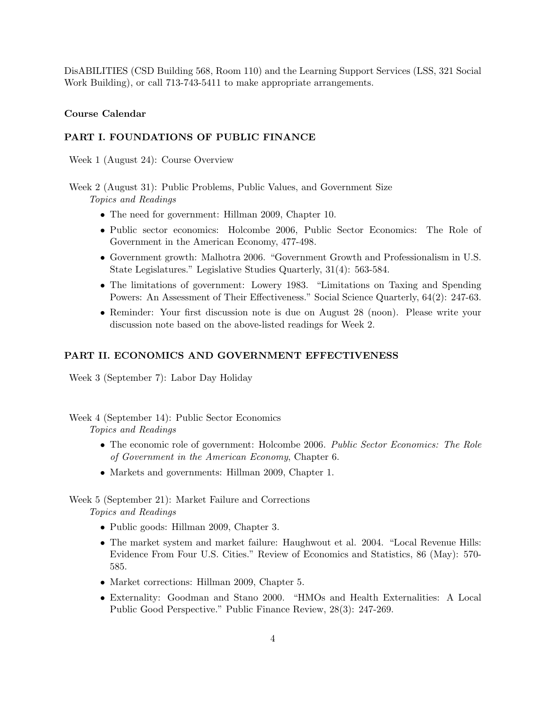DisABILITIES (CSD Building 568, Room 110) and the Learning Support Services (LSS, 321 Social Work Building), or call 713-743-5411 to make appropriate arrangements.

## Course Calendar

## PART I. FOUNDATIONS OF PUBLIC FINANCE

Week 1 (August 24): Course Overview

Week 2 (August 31): Public Problems, Public Values, and Government Size Topics and Readings

- The need for government: Hillman 2009, Chapter 10.
- Public sector economics: Holcombe 2006, Public Sector Economics: The Role of Government in the American Economy, 477-498.
- Government growth: Malhotra 2006. "Government Growth and Professionalism in U.S. State Legislatures." Legislative Studies Quarterly, 31(4): 563-584.
- The limitations of government: Lowery 1983. "Limitations on Taxing and Spending Powers: An Assessment of Their Effectiveness." Social Science Quarterly, 64(2): 247-63.
- Reminder: Your first discussion note is due on August 28 (noon). Please write your discussion note based on the above-listed readings for Week 2.

## PART II. ECONOMICS AND GOVERNMENT EFFECTIVENESS

Week 3 (September 7): Labor Day Holiday

Week 4 (September 14): Public Sector Economics

Topics and Readings

- The economic role of government: Holcombe 2006. Public Sector Economics: The Role of Government in the American Economy, Chapter 6.
- Markets and governments: Hillman 2009, Chapter 1.

Week 5 (September 21): Market Failure and Corrections Topics and Readings

- Public goods: Hillman 2009, Chapter 3.
- The market system and market failure: Haughwout et al. 2004. "Local Revenue Hills: Evidence From Four U.S. Cities." Review of Economics and Statistics, 86 (May): 570- 585.
- Market corrections: Hillman 2009, Chapter 5.
- Externality: Goodman and Stano 2000. "HMOs and Health Externalities: A Local Public Good Perspective." Public Finance Review, 28(3): 247-269.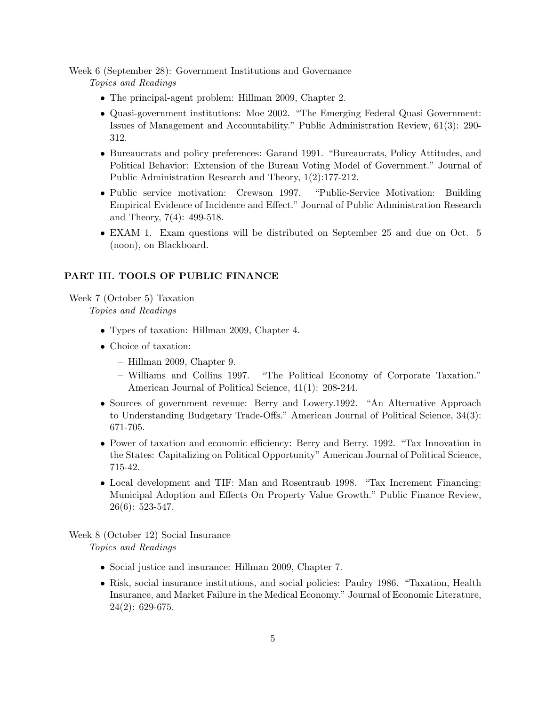Week 6 (September 28): Government Institutions and Governance

Topics and Readings

- The principal-agent problem: Hillman 2009, Chapter 2.
- Quasi-government institutions: Moe 2002. "The Emerging Federal Quasi Government: Issues of Management and Accountability." Public Administration Review, 61(3): 290- 312.
- Bureaucrats and policy preferences: Garand 1991. "Bureaucrats, Policy Attitudes, and Political Behavior: Extension of the Bureau Voting Model of Government." Journal of Public Administration Research and Theory, 1(2):177-212.
- Public service motivation: Crewson 1997. "Public-Service Motivation: Building Empirical Evidence of Incidence and Effect." Journal of Public Administration Research and Theory, 7(4): 499-518.
- EXAM 1. Exam questions will be distributed on September 25 and due on Oct. 5 (noon), on Blackboard.

## PART III. TOOLS OF PUBLIC FINANCE

Week 7 (October 5) Taxation

Topics and Readings

- Types of taxation: Hillman 2009, Chapter 4.
- Choice of taxation:
	- Hillman 2009, Chapter 9.
	- Williams and Collins 1997. "The Political Economy of Corporate Taxation." American Journal of Political Science, 41(1): 208-244.
- Sources of government revenue: Berry and Lowery.1992. "An Alternative Approach to Understanding Budgetary Trade-Offs." American Journal of Political Science, 34(3): 671-705.
- Power of taxation and economic efficiency: Berry and Berry. 1992. "Tax Innovation in the States: Capitalizing on Political Opportunity" American Journal of Political Science, 715-42.
- Local development and TIF: Man and Rosentraub 1998. "Tax Increment Financing: Municipal Adoption and Effects On Property Value Growth." Public Finance Review,  $26(6): 523-547.$

Week 8 (October 12) Social Insurance Topics and Readings

- Social justice and insurance: Hillman 2009, Chapter 7.
- Risk, social insurance institutions, and social policies: Paulry 1986. "Taxation, Health Insurance, and Market Failure in the Medical Economy." Journal of Economic Literature, 24(2): 629-675.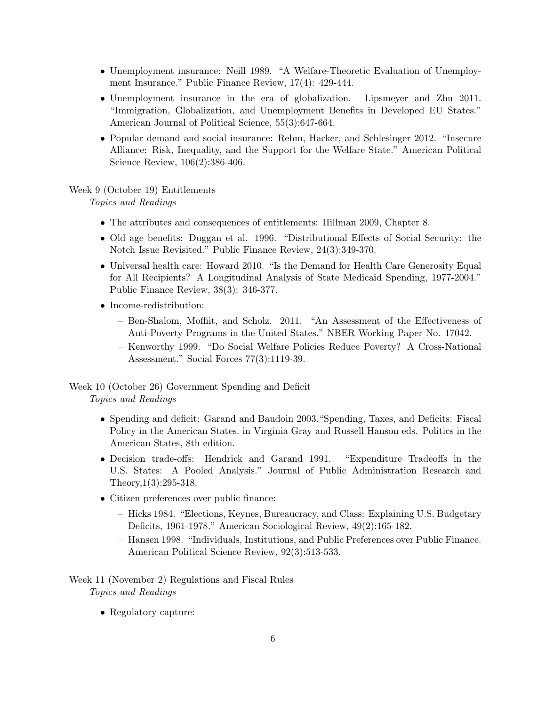- Unemployment insurance: Neill 1989. "A Welfare-Theoretic Evaluation of Unemployment Insurance." Public Finance Review, 17(4): 429-444.
- Unemployment insurance in the era of globalization. Lipsmeyer and Zhu 2011. "Immigration, Globalization, and Unemployment Benefits in Developed EU States." American Journal of Political Science, 55(3):647-664.
- Popular demand and social insurance: Rehm, Hacker, and Schlesinger 2012. "Insecure Alliance: Risk, Inequality, and the Support for the Welfare State." American Political Science Review, 106(2):386-406.

# Week 9 (October 19) Entitlements

Topics and Readings

- The attributes and consequences of entitlements: Hillman 2009, Chapter 8.
- Old age benefits: Duggan et al. 1996. "Distributional Effects of Social Security: the Notch Issue Revisited." Public Finance Review, 24(3):349-370.
- Universal health care: Howard 2010. "Is the Demand for Health Care Generosity Equal for All Recipients? A Longitudinal Analysis of State Medicaid Spending, 1977-2004." Public Finance Review, 38(3): 346-377.
- Income-redistribution:
	- Ben-Shalom, Moffiit, and Scholz. 2011. "An Assessment of the Effectiveness of Anti-Poverty Programs in the United States." NBER Working Paper No. 17042.
	- Kenworthy 1999. "Do Social Welfare Policies Reduce Poverty? A Cross-National Assessment." Social Forces 77(3):1119-39.

Week 10 (October 26) Government Spending and Deficit Topics and Readings

- Spending and deficit: Garand and Baudoin 2003."Spending, Taxes, and Deficits: Fiscal Policy in the American States. in Virginia Gray and Russell Hanson eds. Politics in the American States, 8th edition.
- Decision trade-offs: Hendrick and Garand 1991. "Expenditure Tradeoffs in the U.S. States: A Pooled Analysis." Journal of Public Administration Research and Theory,1(3):295-318.
- Citizen preferences over public finance:
	- Hicks 1984. "Elections, Keynes, Bureaucracy, and Class: Explaining U.S. Budgetary Deficits, 1961-1978." American Sociological Review, 49(2):165-182.
	- Hansen 1998. "Individuals, Institutions, and Public Preferences over Public Finance. American Political Science Review, 92(3):513-533.
- Week 11 (November 2) Regulations and Fiscal Rules Topics and Readings
	- Regulatory capture: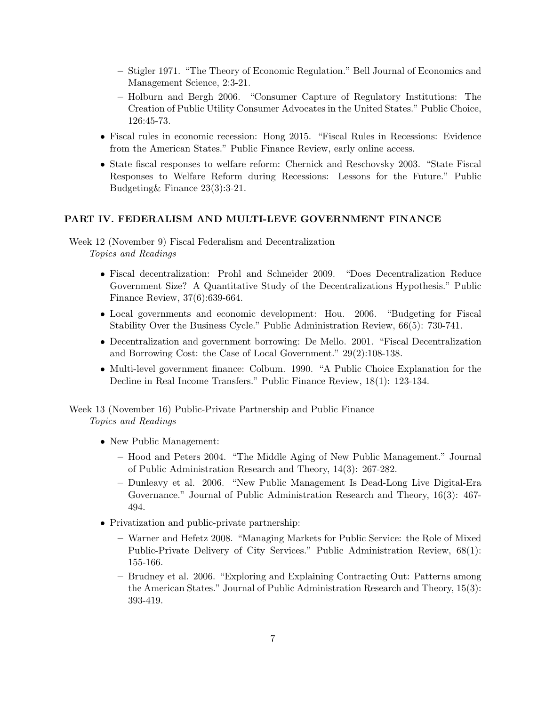- Stigler 1971. "The Theory of Economic Regulation." Bell Journal of Economics and Management Science, 2:3-21.
- Holburn and Bergh 2006. "Consumer Capture of Regulatory Institutions: The Creation of Public Utility Consumer Advocates in the United States." Public Choice, 126:45-73.
- Fiscal rules in economic recession: Hong 2015. "Fiscal Rules in Recessions: Evidence from the American States." Public Finance Review, early online access.
- State fiscal responses to welfare reform: Chernick and Reschovsky 2003. "State Fiscal Responses to Welfare Reform during Recessions: Lessons for the Future." Public Budgeting& Finance 23(3):3-21.

## PART IV. FEDERALISM AND MULTI-LEVE GOVERNMENT FINANCE

Week 12 (November 9) Fiscal Federalism and Decentralization Topics and Readings

- Fiscal decentralization: Prohl and Schneider 2009. "Does Decentralization Reduce Government Size? A Quantitative Study of the Decentralizations Hypothesis." Public Finance Review, 37(6):639-664.
- Local governments and economic development: Hou. 2006. "Budgeting for Fiscal Stability Over the Business Cycle." Public Administration Review, 66(5): 730-741.
- Decentralization and government borrowing: De Mello. 2001. "Fiscal Decentralization and Borrowing Cost: the Case of Local Government." 29(2):108-138.
- Multi-level government finance: Colbum. 1990. "A Public Choice Explanation for the Decline in Real Income Transfers." Public Finance Review, 18(1): 123-134.

Week 13 (November 16) Public-Private Partnership and Public Finance Topics and Readings

- New Public Management:
	- Hood and Peters 2004. "The Middle Aging of New Public Management." Journal of Public Administration Research and Theory, 14(3): 267-282.
	- Dunleavy et al. 2006. "New Public Management Is Dead-Long Live Digital-Era Governance." Journal of Public Administration Research and Theory, 16(3): 467- 494.
- Privatization and public-private partnership:
	- Warner and Hefetz 2008. "Managing Markets for Public Service: the Role of Mixed Public-Private Delivery of City Services." Public Administration Review, 68(1): 155-166.
	- Brudney et al. 2006. "Exploring and Explaining Contracting Out: Patterns among the American States." Journal of Public Administration Research and Theory, 15(3): 393-419.